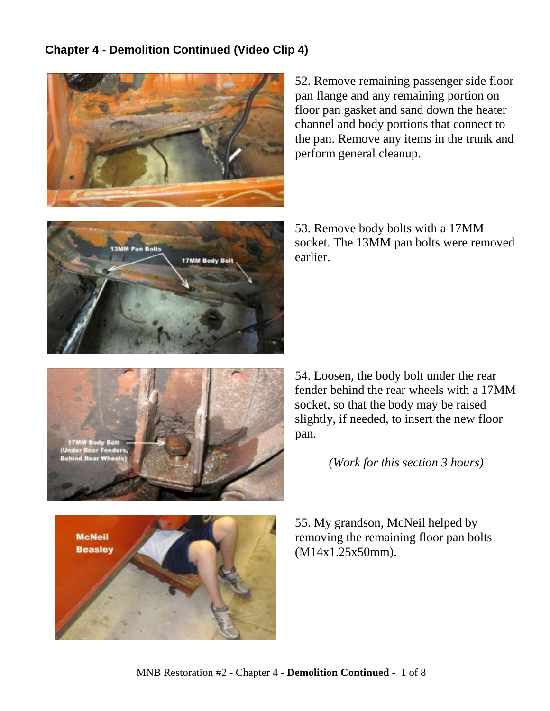## **Chapter 4 - Demolition Continued (Video Clip 4)**



52. Remove remaining passenger side floor pan flange and any remaining portion on floor pan gasket and sand down the heater channel and body portions that connect to the pan. Remove any items in the trunk and perform general cleanup.



53. Remove body bolts with a 17MM socket. The 13MM pan bolts were removed earlier.



54. Loosen, the body bolt under the rear fender behind the rear wheels with a 17MM socket, so that the body may be raised slightly, if needed, to insert the new floor pan.

*(Work for this section 3 hours)*

55. My grandson, McNeil helped by removing the remaining floor pan bolts (M14x1.25x50mm).

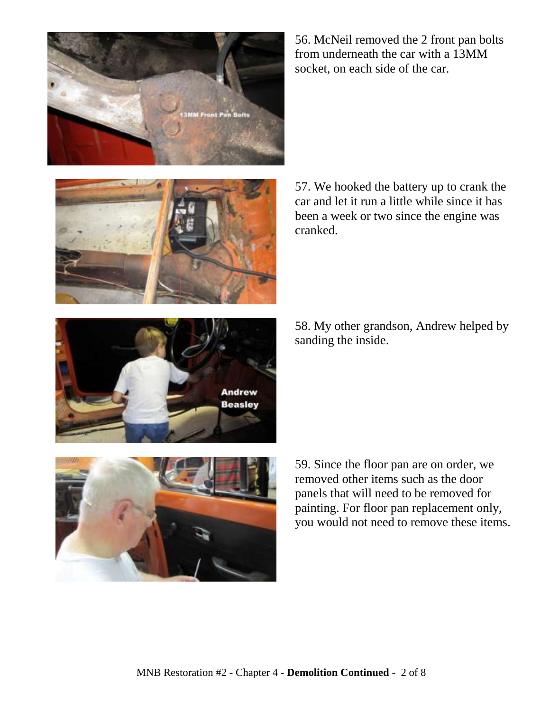

56. McNeil removed the 2 front pan bolts from underneath the car with a 13MM socket, on each side of the car.



57. We hooked the battery up to crank the car and let it run a little while since it has been a week or two since the engine was cranked.

58. My other grandson, Andrew helped by sanding the inside.





59. Since the floor pan are on order, we removed other items such as the door panels that will need to be removed for painting. For floor pan replacement only, you would not need to remove these items.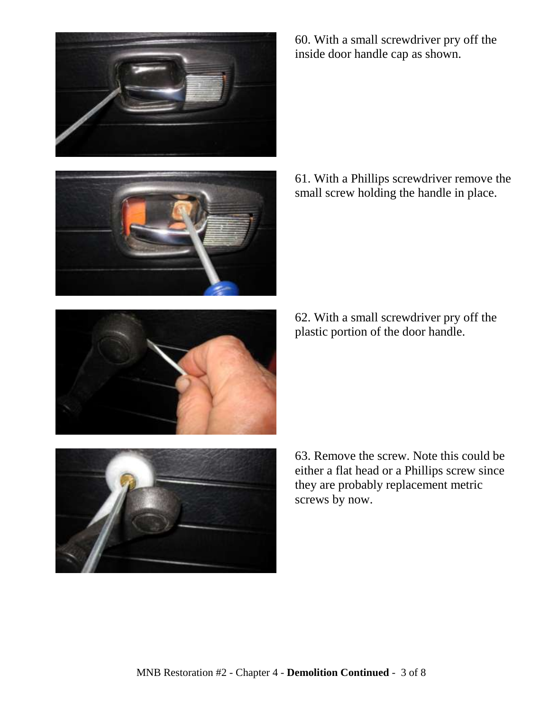



60. With a small screwdriver pry off the inside door handle cap as shown.

61. With a Phillips screwdriver remove the small screw holding the handle in place.

62. With a small screwdriver pry off the plastic portion of the door handle.



63. Remove the screw. Note this could be either a flat head or a Phillips screw since they are probably replacement metric screws by now.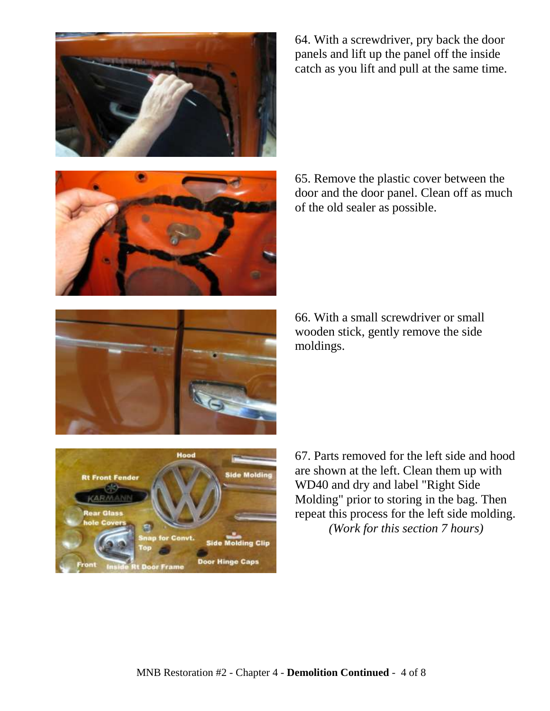

64. With a screwdriver, pry back the door panels and lift up the panel off the inside catch as you lift and pull at the same time.





66. With a small screwdriver or small wooden stick, gently remove the side moldings.





67. Parts removed for the left side and hood are shown at the left. Clean them up with WD40 and dry and label "Right Side Molding" prior to storing in the bag. Then repeat this process for the left side molding. *(Work for this section 7 hours)*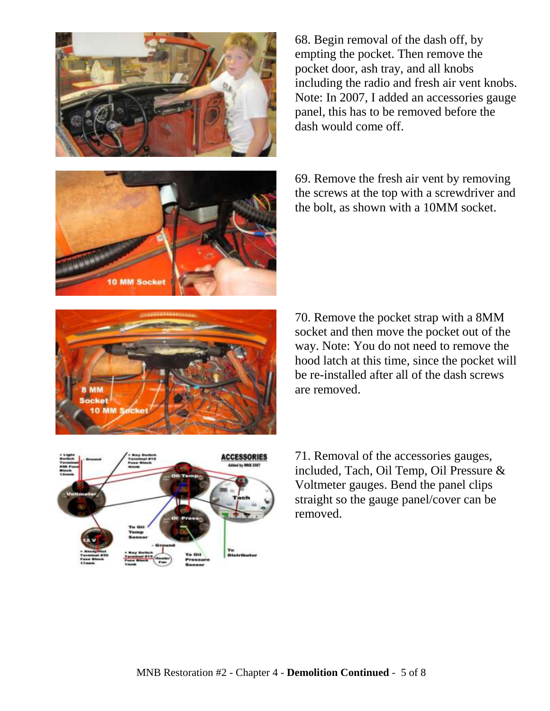



71. Removal of the accessories gauges, included, Tach, Oil Temp, Oil Pressure & Voltmeter gauges. Bend the panel clips straight so the gauge panel/cover can be removed.

69. Remove the fresh air vent by removing the screws at the top with a screwdriver and the bolt, as shown with a 10MM socket.

70. Remove the pocket strap with a 8MM socket and then move the pocket out of the way. Note: You do not need to remove the hood latch at this time, since the pocket will be re-installed after all of the dash screws

are removed.

68. Begin removal of the dash off, by empting the pocket. Then remove the pocket door, ash tray, and all knobs including the radio and fresh air vent knobs. Note: In 2007, I added an accessories gauge panel, this has to be removed before the dash would come off.

MNB Restoration #2 - Chapter 4 - **Demolition Continued** - 5 of 8





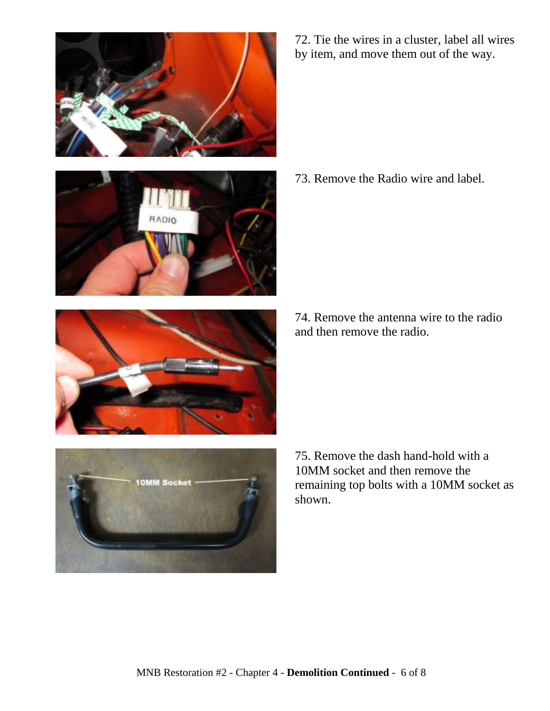







72. Tie the wires in a cluster, label all wires by item, and move them out of the way.

73. Remove the Radio wire and label.

74. Remove the antenna wire to the radio and then remove the radio.

75. Remove the dash hand-hold with a 10MM socket and then remove the remaining top bolts with a 10MM socket as shown.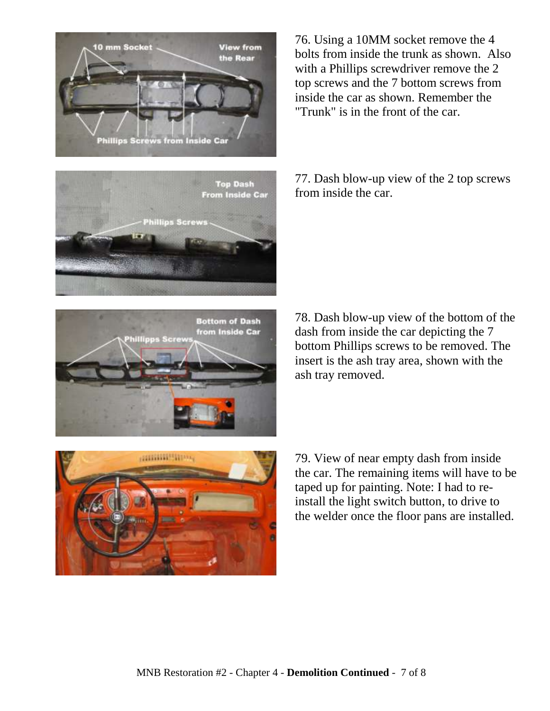







76. Using a 10MM socket remove the 4 bolts from inside the trunk as shown. Also with a Phillips screwdriver remove the 2 top screws and the 7 bottom screws from inside the car as shown. Remember the "Trunk" is in the front of the car.

77. Dash blow-up view of the 2 top screws from inside the car.

78. Dash blow-up view of the bottom of the dash from inside the car depicting the 7 bottom Phillips screws to be removed. The insert is the ash tray area, shown with the ash tray removed.

79. View of near empty dash from inside the car. The remaining items will have to be taped up for painting. Note: I had to reinstall the light switch button, to drive to the welder once the floor pans are installed.